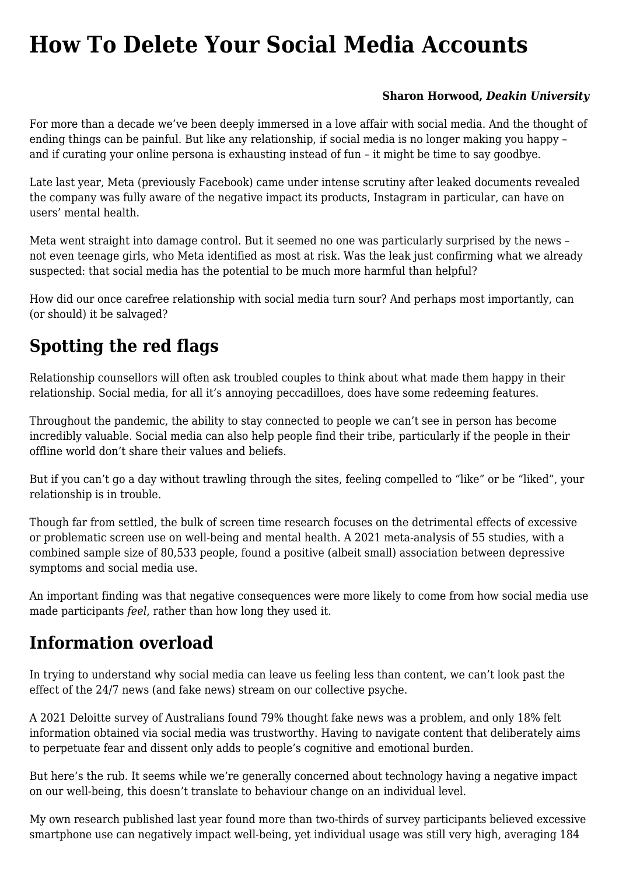# **[How To Delete Your Social Media Accounts](https://www.melbpc.org.au/how-to-delete-your-social-media-accounts/)**

#### **[Sharon Horwood,](https://theconversation.com/profiles/sharon-horwood-477030)** *[Deakin University](https://theconversation.com/institutions/deakin-university-757)*

For more than a decade we've been deeply immersed in a love affair with social media. And the thought of ending things can be painful. But like any relationship, if social media is no longer making you happy – and if curating your online persona is exhausting instead of fun – it might be time to say goodbye.

Late last year, Meta (previously Facebook) came under intense scrutiny after [leaked documents](https://www.theguardian.com/technology/2021/sep/29/facebook-hearing-latest-children-impact) revealed the company was fully aware of the negative impact its products, Instagram in particular, can have on users' mental health.

Meta went straight into damage control. But it seemed no one was particularly surprised by the news – not even [teenage girls](https://www.nytimes.com/2021/10/05/technology/teenage-girls-instagram.html), who Meta identified as most at risk. Was the leak just confirming what we already suspected: that social media has the potential to be much more harmful than helpful?

How did our once carefree relationship with social media turn sour? And perhaps most importantly, can (or should) it be salvaged?

## **Spotting the red flags**

Relationship counsellors will often ask troubled couples to think about what made them happy in their relationship. Social media, for all it's annoying peccadilloes, does have some redeeming features.

Throughout the pandemic, the ability to stay connected to people we can't see in person has become incredibly valuable. Social media can also help people find their tribe, particularly if the people in their offline world don't share their values and beliefs.

But if you can't go a day without trawling through the sites, feeling compelled to "like" or be "liked", your relationship is in trouble.

Though far from settled, the bulk of screen time research focuses on the detrimental effects of excessive or problematic screen use on well-being and mental health. A 2021 [meta-analysis](https://link.springer.com/article/10.1007/s12144-019-0150-6) of 55 studies, with a combined sample size of 80,533 people, found a positive (albeit small) association between depressive symptoms and social media use.

An important finding was that negative consequences were more likely to come from how social media use made participants *feel*, rather than how long they used it.

### **Information overload**

In trying to understand why social media can leave us feeling less than content, we can't look past the effect of the 24/7 news (and fake news) stream on our collective psyche.

A 2021 Deloitte [survey](https://www2.deloitte.com/au/en/pages/technology-media-and-telecommunications/articles/digitalconsumertrends.html) of Australians found 79% thought fake news was a problem, and only 18% felt information obtained via social media was trustworthy. Having to navigate content that deliberately aims to perpetuate fear and dissent only adds to people's cognitive and emotional burden.

But here's the rub. It seems while we're generally concerned about technology having a negative impact on our well-being, this doesn't translate to behaviour change on an individual level.

My own [research](https://www.sciencedirect.com/science/article/abs/pii/S0747563221001710) published last year found more than two-thirds of survey participants believed excessive smartphone use can negatively impact well-being, yet individual usage was still very high, averaging 184